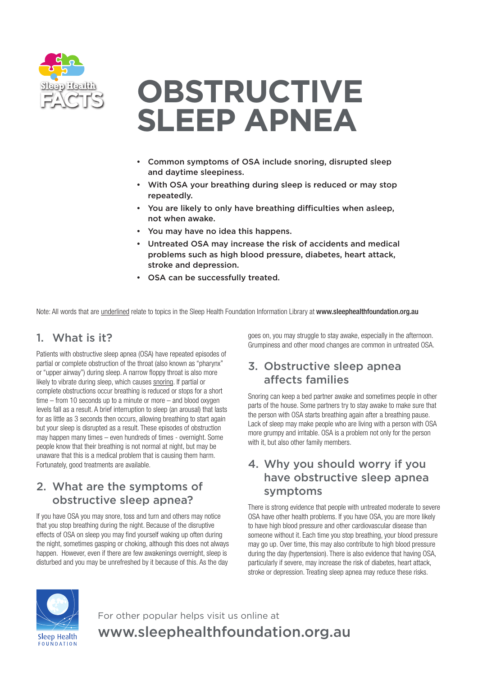

# **OBSTRUCTIVE SLEEP APNEA**

- Common symptoms of OSA include snoring, disrupted sleep and daytime sleepiness.
- With OSA your breathing during sleep is reduced or may stop repeatedly.
- You are likely to only have breathing difficulties when asleep, not when awake.
- You may have no idea this happens.
- Untreated OSA may increase the risk of accidents and medical problems such as high blood pressure, diabetes, heart attack, stroke and depression.
- OSA can be successfully treated.

Note: All words that are underlined relate to topics in the Sleep Health Foundation Information Library at www.sleephealthfoundation.org.au

#### 1. What is it?

Patients with obstructive sleep apnea (OSA) have repeated episodes of partial or complete obstruction of the throat (also known as "pharynx" or "upper airway") during sleep. A narrow floppy throat is also more likely to vibrate during sleep, which causes snoring. If partial or complete obstructions occur breathing is reduced or stops for a short time – from 10 seconds up to a minute or more – and blood oxygen levels fall as a result. A brief interruption to sleep (an arousal) that lasts for as little as 3 seconds then occurs, allowing breathing to start again but your sleep is disrupted as a result. These episodes of obstruction may happen many times – even hundreds of times - overnight. Some people know that their breathing is not normal at night, but may be unaware that this is a medical problem that is causing them harm. Fortunately, good treatments are available.

#### 2. What are the symptoms of obstructive sleep apnea?

If you have OSA you may snore, toss and turn and others may notice that you stop breathing during the night. Because of the disruptive effects of OSA on sleep you may find yourself waking up often during the night, sometimes gasping or choking, although this does not always happen. However, even if there are few awakenings overnight, sleep is disturbed and you may be unrefreshed by it because of this. As the day

goes on, you may struggle to stay awake, especially in the afternoon. Grumpiness and other mood changes are common in untreated OSA.

# 3. Obstructive sleep apnea affects families

Snoring can keep a bed partner awake and sometimes people in other parts of the house. Some partners try to stay awake to make sure that the person with OSA starts breathing again after a breathing pause. Lack of sleep may make people who are living with a person with OSA more grumpy and irritable. OSA is a problem not only for the person with it, but also other family members.

#### 4. Why you should worry if you have obstructive sleep apnea symptoms

There is strong evidence that people with untreated moderate to severe OSA have other health problems. If you have OSA, you are more likely to have high blood pressure and other cardiovascular disease than someone without it. Each time you stop breathing, your blood pressure may go up. Over time, this may also contribute to high blood pressure during the day (hypertension). There is also evidence that having OSA, particularly if severe, may increase the risk of diabetes, heart attack, stroke or depression. Treating sleep apnea may reduce these risks.



For other popular helps visit us online at www.sleephealthfoundation.org.au